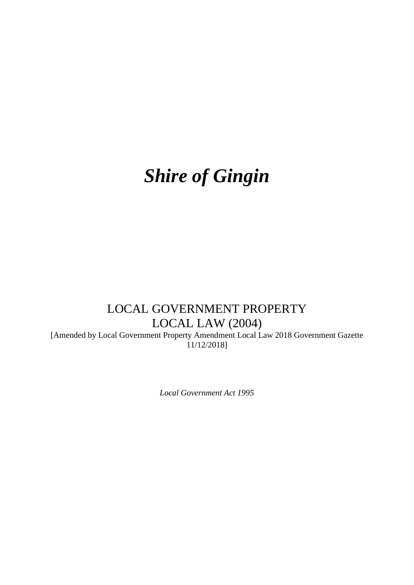# *Shire of Gingin*

## LOCAL GOVERNMENT PROPERTY LOCAL LAW (2004)

[Amended by Local Government Property Amendment Local Law 2018 Government Gazette 11/12/2018]

*Local Government Act 1995*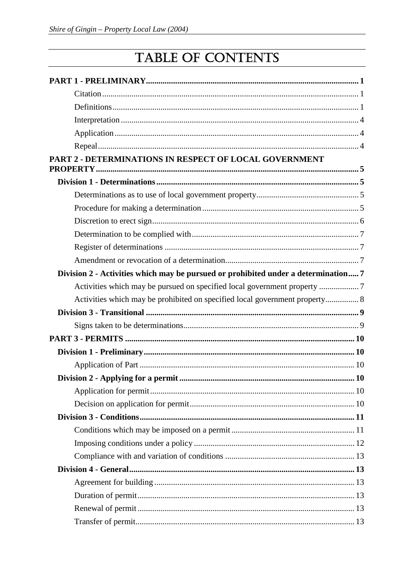## TABLE OF CONTENTS

| PART 2 - DETERMINATIONS IN RESPECT OF LOCAL GOVERNMENT                             |  |
|------------------------------------------------------------------------------------|--|
|                                                                                    |  |
|                                                                                    |  |
|                                                                                    |  |
|                                                                                    |  |
|                                                                                    |  |
|                                                                                    |  |
|                                                                                    |  |
| Division 2 - Activities which may be pursued or prohibited under a determination 7 |  |
|                                                                                    |  |
| Activities which may be prohibited on specified local government property 8        |  |
|                                                                                    |  |
|                                                                                    |  |
|                                                                                    |  |
|                                                                                    |  |
|                                                                                    |  |
|                                                                                    |  |
|                                                                                    |  |
|                                                                                    |  |
|                                                                                    |  |
|                                                                                    |  |
|                                                                                    |  |
|                                                                                    |  |
|                                                                                    |  |
|                                                                                    |  |
|                                                                                    |  |
|                                                                                    |  |
|                                                                                    |  |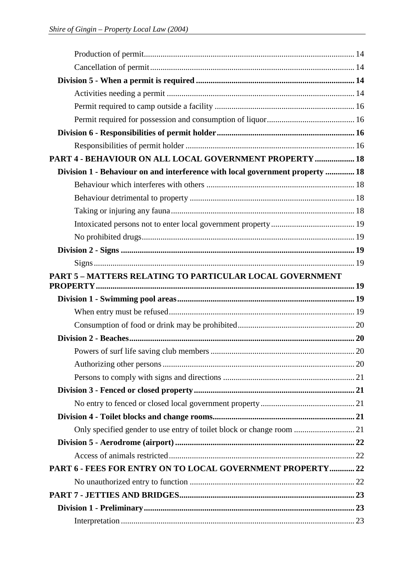| PART 4 - BEHAVIOUR ON ALL LOCAL GOVERNMENT PROPERTY  18                       |  |
|-------------------------------------------------------------------------------|--|
| Division 1 - Behaviour on and interference with local government property  18 |  |
|                                                                               |  |
|                                                                               |  |
|                                                                               |  |
|                                                                               |  |
|                                                                               |  |
|                                                                               |  |
|                                                                               |  |
| PART 5 - MATTERS RELATING TO PARTICULAR LOCAL GOVERNMENT                      |  |
|                                                                               |  |
|                                                                               |  |
|                                                                               |  |
|                                                                               |  |
|                                                                               |  |
|                                                                               |  |
|                                                                               |  |
|                                                                               |  |
|                                                                               |  |
|                                                                               |  |
|                                                                               |  |
|                                                                               |  |
|                                                                               |  |
| PART 6 - FEES FOR ENTRY ON TO LOCAL GOVERNMENT PROPERTY 22                    |  |
|                                                                               |  |
|                                                                               |  |
|                                                                               |  |
|                                                                               |  |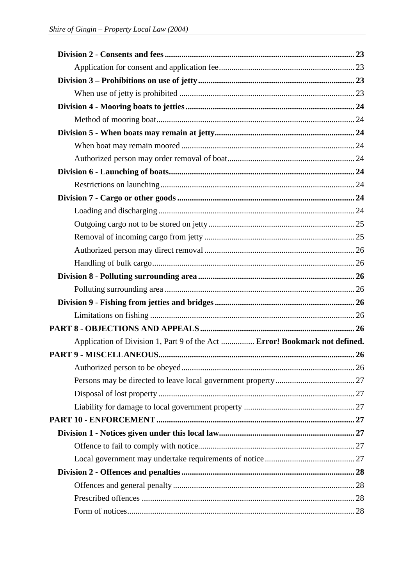| Application of Division 1, Part 9 of the Act  Error! Bookmark not defined. |  |
|----------------------------------------------------------------------------|--|
|                                                                            |  |
|                                                                            |  |
|                                                                            |  |
|                                                                            |  |
|                                                                            |  |
|                                                                            |  |
|                                                                            |  |
|                                                                            |  |
|                                                                            |  |
|                                                                            |  |
|                                                                            |  |
|                                                                            |  |
|                                                                            |  |
|                                                                            |  |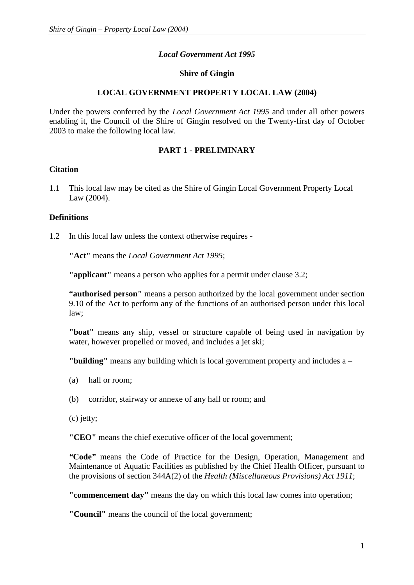## *Local Government Act 1995*

## **Shire of Gingin**

## **LOCAL GOVERNMENT PROPERTY LOCAL LAW (2004)**

Under the powers conferred by the *Local Government Act 1995* and under all other powers enabling it, the Council of the Shire of Gingin resolved on the Twenty-first day of October 2003 to make the following local law.

## **PART 1 - PRELIMINARY**

## **Citation**

1.1 This local law may be cited as the Shire of Gingin Local Government Property Local Law (2004).

## **Definitions**

1.2 In this local law unless the context otherwise requires -

**"Act"** means the *Local Government Act 1995*;

**"applicant"** means a person who applies for a permit under clause 3.2;

**"authorised person"** means a person authorized by the local government under section 9.10 of the Act to perform any of the functions of an authorised person under this local law;

**"boat"** means any ship, vessel or structure capable of being used in navigation by water, however propelled or moved, and includes a jet ski;

**"building"** means any building which is local government property and includes a –

- (a) hall or room;
- (b) corridor, stairway or annexe of any hall or room; and
- (c) jetty;

**"CEO"** means the chief executive officer of the local government;

*"***Code***"* means the Code of Practice for the Design, Operation, Management and Maintenance of Aquatic Facilities as published by the Chief Health Officer, pursuant to the provisions of section 344A(2) of the *Health (Miscellaneous Provisions) Act 1911*;

**"commencement day"** means the day on which this local law comes into operation;

**"Council"** means the council of the local government;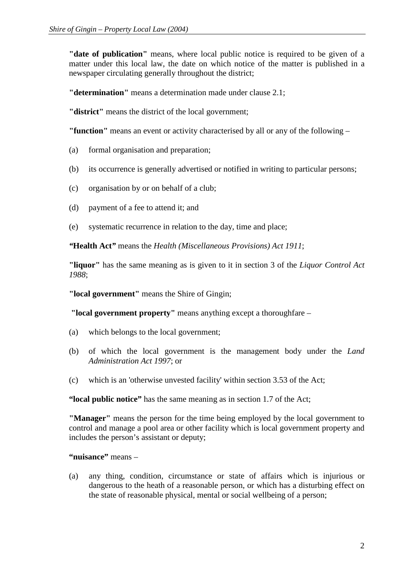**"date of publication"** means, where local public notice is required to be given of a matter under this local law, the date on which notice of the matter is published in a newspaper circulating generally throughout the district;

**"determination"** means a determination made under clause 2.1;

**"district"** means the district of the local government;

**"function"** means an event or activity characterised by all or any of the following –

- (a) formal organisation and preparation;
- (b) its occurrence is generally advertised or notified in writing to particular persons;
- (c) organisation by or on behalf of a club;
- (d) payment of a fee to attend it; and
- (e) systematic recurrence in relation to the day, time and place;

*"***Health Act***"* means the *Health (Miscellaneous Provisions) Act 1911*;

**"liquor"** has the same meaning as is given to it in section 3 of the *Liquor Control Act 1988*;

**"local government"** means the Shire of Gingin;

**"local government property"** means anything except a thoroughfare –

- (a) which belongs to the local government;
- (b) of which the local government is the management body under the *Land Administration Act 1997*; or
- (c) which is an 'otherwise unvested facility' within section 3.53 of the Act;

**"local public notice"** has the same meaning as in section 1.7 of the Act;

**"Manager"** means the person for the time being employed by the local government to control and manage a pool area or other facility which is local government property and includes the person's assistant or deputy;

**"nuisance"** means –

(a) any thing, condition, circumstance or state of affairs which is injurious or dangerous to the heath of a reasonable person, or which has a disturbing effect on the state of reasonable physical, mental or social wellbeing of a person;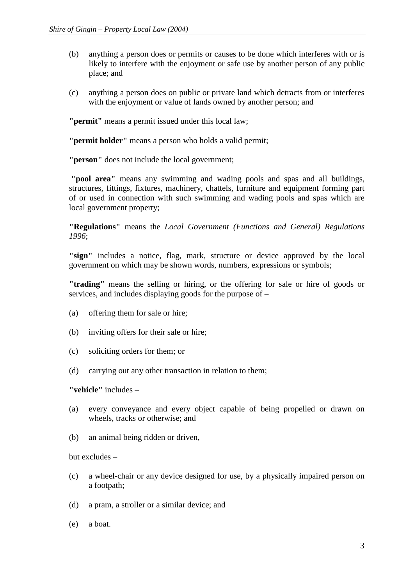- (b) anything a person does or permits or causes to be done which interferes with or is likely to interfere with the enjoyment or safe use by another person of any public place; and
- (c) anything a person does on public or private land which detracts from or interferes with the enjoyment or value of lands owned by another person; and

**"permit"** means a permit issued under this local law;

**"permit holder"** means a person who holds a valid permit;

**"person"** does not include the local government;

**"pool area"** means any swimming and wading pools and spas and all buildings, structures, fittings, fixtures, machinery, chattels, furniture and equipment forming part of or used in connection with such swimming and wading pools and spas which are local government property;

**"Regulations"** means the *Local Government (Functions and General) Regulations 1996*;

**"sign"** includes a notice, flag, mark, structure or device approved by the local government on which may be shown words, numbers, expressions or symbols;

**"trading"** means the selling or hiring, or the offering for sale or hire of goods or services, and includes displaying goods for the purpose of –

- (a) offering them for sale or hire;
- (b) inviting offers for their sale or hire;
- (c) soliciting orders for them; or
- (d) carrying out any other transaction in relation to them;

**"vehicle"** includes –

- (a) every conveyance and every object capable of being propelled or drawn on wheels, tracks or otherwise; and
- (b) an animal being ridden or driven,

but excludes –

- (c) a wheel-chair or any device designed for use, by a physically impaired person on a footpath;
- (d) a pram, a stroller or a similar device; and
- (e) a boat.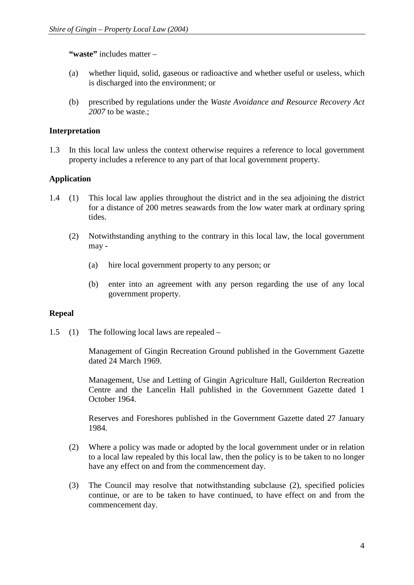**"waste"** includes matter –

- (a) whether liquid, solid, gaseous or radioactive and whether useful or useless, which is discharged into the environment; or
- (b) prescribed by regulations under the *Waste Avoidance and Resource Recovery Act 2007* to be waste.;

## **Interpretation**

1.3 In this local law unless the context otherwise requires a reference to local government property includes a reference to any part of that local government property.

## **Application**

- 1.4 (1) This local law applies throughout the district and in the sea adjoining the district for a distance of 200 metres seawards from the low water mark at ordinary spring tides.
	- (2) Notwithstanding anything to the contrary in this local law, the local government may -
		- (a) hire local government property to any person; or
		- (b) enter into an agreement with any person regarding the use of any local government property.

## **Repeal**

1.5 (1) The following local laws are repealed –

Management of Gingin Recreation Ground published in the Government Gazette dated 24 March 1969.

Management, Use and Letting of Gingin Agriculture Hall, Guilderton Recreation Centre and the Lancelin Hall published in the Government Gazette dated 1 October 1964.

Reserves and Foreshores published in the Government Gazette dated 27 January 1984.

- (2) Where a policy was made or adopted by the local government under or in relation to a local law repealed by this local law, then the policy is to be taken to no longer have any effect on and from the commencement day.
- (3) The Council may resolve that notwithstanding subclause (2), specified policies continue, or are to be taken to have continued, to have effect on and from the commencement day.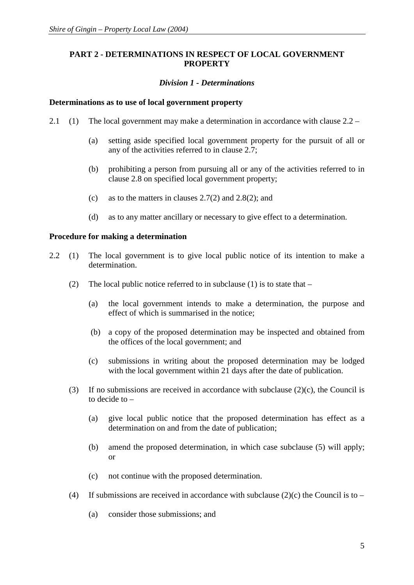## **PART 2 - DETERMINATIONS IN RESPECT OF LOCAL GOVERNMENT PROPERTY**

## *Division 1 - Determinations*

#### **Determinations as to use of local government property**

- 2.1 (1) The local government may make a determination in accordance with clause 2.2
	- (a) setting aside specified local government property for the pursuit of all or any of the activities referred to in clause 2.7;
	- (b) prohibiting a person from pursuing all or any of the activities referred to in clause 2.8 on specified local government property;
	- (c) as to the matters in clauses 2.7(2) and 2.8(2); and
	- (d) as to any matter ancillary or necessary to give effect to a determination.

#### **Procedure for making a determination**

- 2.2 (1) The local government is to give local public notice of its intention to make a determination.
	- (2) The local public notice referred to in subclause (1) is to state that  $-$ 
		- (a) the local government intends to make a determination, the purpose and effect of which is summarised in the notice;
		- (b) a copy of the proposed determination may be inspected and obtained from the offices of the local government; and
		- (c) submissions in writing about the proposed determination may be lodged with the local government within 21 days after the date of publication.
	- (3) If no submissions are received in accordance with subclause  $(2)(c)$ , the Council is to decide to –
		- (a) give local public notice that the proposed determination has effect as a determination on and from the date of publication;
		- (b) amend the proposed determination, in which case subclause (5) will apply; or
		- (c) not continue with the proposed determination.
	- (4) If submissions are received in accordance with subclause  $(2)(c)$  the Council is to
		- (a) consider those submissions; and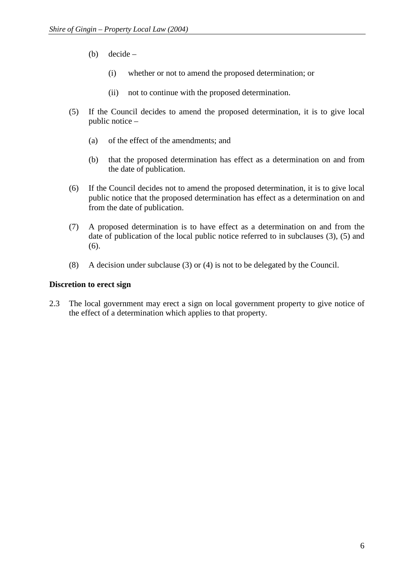- (b) decide
	- (i) whether or not to amend the proposed determination; or
	- (ii) not to continue with the proposed determination.
- (5) If the Council decides to amend the proposed determination, it is to give local public notice –
	- (a) of the effect of the amendments; and
	- (b) that the proposed determination has effect as a determination on and from the date of publication.
- (6) If the Council decides not to amend the proposed determination, it is to give local public notice that the proposed determination has effect as a determination on and from the date of publication.
- (7) A proposed determination is to have effect as a determination on and from the date of publication of the local public notice referred to in subclauses (3), (5) and (6).
- (8) A decision under subclause (3) or (4) is not to be delegated by the Council.

## **Discretion to erect sign**

2.3 The local government may erect a sign on local government property to give notice of the effect of a determination which applies to that property.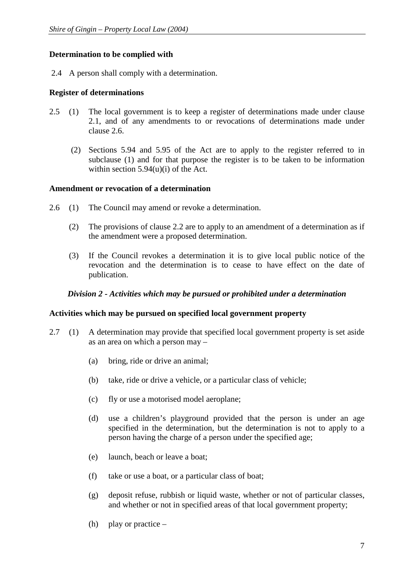## **Determination to be complied with**

2.4 A person shall comply with a determination.

## **Register of determinations**

- 2.5 (1) The local government is to keep a register of determinations made under clause 2.1, and of any amendments to or revocations of determinations made under clause 2.6.
	- (2) Sections 5.94 and 5.95 of the Act are to apply to the register referred to in subclause (1) and for that purpose the register is to be taken to be information within section 5.94(u)(i) of the Act.

## **Amendment or revocation of a determination**

- 2.6 (1) The Council may amend or revoke a determination.
	- (2) The provisions of clause 2.2 are to apply to an amendment of a determination as if the amendment were a proposed determination.
	- (3) If the Council revokes a determination it is to give local public notice of the revocation and the determination is to cease to have effect on the date of publication.

## *Division 2 - Activities which may be pursued or prohibited under a determination*

## **Activities which may be pursued on specified local government property**

- 2.7 (1) A determination may provide that specified local government property is set aside as an area on which a person may –
	- (a) bring, ride or drive an animal;
	- (b) take, ride or drive a vehicle, or a particular class of vehicle;
	- (c) fly or use a motorised model aeroplane;
	- (d) use a children's playground provided that the person is under an age specified in the determination, but the determination is not to apply to a person having the charge of a person under the specified age;
	- (e) launch, beach or leave a boat;
	- (f) take or use a boat, or a particular class of boat;
	- (g) deposit refuse, rubbish or liquid waste, whether or not of particular classes, and whether or not in specified areas of that local government property;
	- (h) play or practice –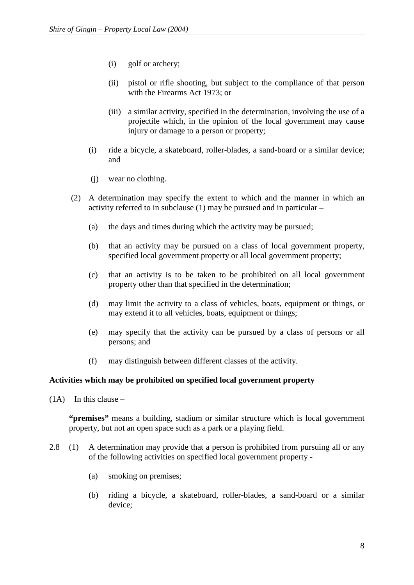- (i) golf or archery;
- (ii) pistol or rifle shooting, but subject to the compliance of that person with the Firearms Act 1973; or
- (iii) a similar activity, specified in the determination, involving the use of a projectile which, in the opinion of the local government may cause injury or damage to a person or property;
- (i) ride a bicycle, a skateboard, roller-blades, a sand-board or a similar device; and
- (j) wear no clothing.
- (2) A determination may specify the extent to which and the manner in which an activity referred to in subclause (1) may be pursued and in particular –
	- (a) the days and times during which the activity may be pursued;
	- (b) that an activity may be pursued on a class of local government property, specified local government property or all local government property;
	- (c) that an activity is to be taken to be prohibited on all local government property other than that specified in the determination;
	- (d) may limit the activity to a class of vehicles, boats, equipment or things, or may extend it to all vehicles, boats, equipment or things;
	- (e) may specify that the activity can be pursued by a class of persons or all persons; and
	- (f) may distinguish between different classes of the activity.

## **Activities which may be prohibited on specified local government property**

 $(1A)$  In this clause –

**"premises"** means a building, stadium or similar structure which is local government property, but not an open space such as a park or a playing field.

- 2.8 (1) A determination may provide that a person is prohibited from pursuing all or any of the following activities on specified local government property -
	- (a) smoking on premises;
	- (b) riding a bicycle, a skateboard, roller-blades, a sand-board or a similar device;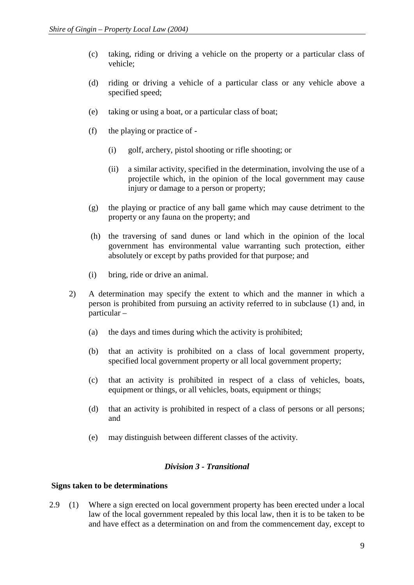- (c) taking, riding or driving a vehicle on the property or a particular class of vehicle;
- (d) riding or driving a vehicle of a particular class or any vehicle above a specified speed;
- (e) taking or using a boat, or a particular class of boat;
- (f) the playing or practice of
	- (i) golf, archery, pistol shooting or rifle shooting; or
	- (ii) a similar activity, specified in the determination, involving the use of a projectile which, in the opinion of the local government may cause injury or damage to a person or property;
- (g) the playing or practice of any ball game which may cause detriment to the property or any fauna on the property; and
- (h) the traversing of sand dunes or land which in the opinion of the local government has environmental value warranting such protection, either absolutely or except by paths provided for that purpose; and
- (i) bring, ride or drive an animal.
- 2) A determination may specify the extent to which and the manner in which a person is prohibited from pursuing an activity referred to in subclause (1) and, in particular –
	- (a) the days and times during which the activity is prohibited;
	- (b) that an activity is prohibited on a class of local government property, specified local government property or all local government property;
	- (c) that an activity is prohibited in respect of a class of vehicles, boats, equipment or things, or all vehicles, boats, equipment or things;
	- (d) that an activity is prohibited in respect of a class of persons or all persons; and
	- (e) may distinguish between different classes of the activity.

## *Division 3 - Transitional*

## **Signs taken to be determinations**

2.9 (1) Where a sign erected on local government property has been erected under a local law of the local government repealed by this local law, then it is to be taken to be and have effect as a determination on and from the commencement day, except to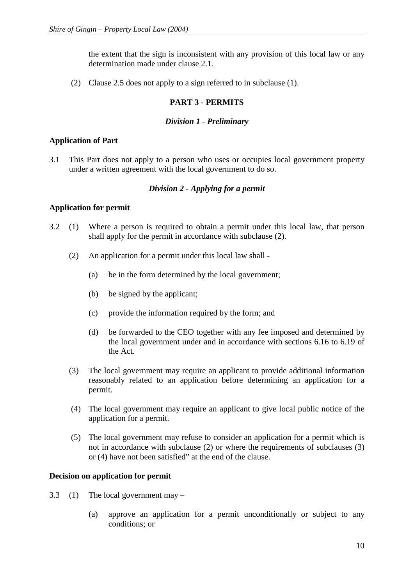the extent that the sign is inconsistent with any provision of this local law or any determination made under clause 2.1.

(2) Clause 2.5 does not apply to a sign referred to in subclause (1).

## **PART 3 - PERMITS**

## *Division 1 - Preliminary*

## **Application of Part**

3.1 This Part does not apply to a person who uses or occupies local government property under a written agreement with the local government to do so.

## *Division 2 - Applying for a permit*

## **Application for permit**

- 3.2 (1) Where a person is required to obtain a permit under this local law, that person shall apply for the permit in accordance with subclause (2).
	- (2) An application for a permit under this local law shall
		- (a) be in the form determined by the local government;
		- (b) be signed by the applicant;
		- (c) provide the information required by the form; and
		- (d) be forwarded to the CEO together with any fee imposed and determined by the local government under and in accordance with sections 6.16 to 6.19 of the Act.
	- (3) The local government may require an applicant to provide additional information reasonably related to an application before determining an application for a permit.
	- (4) The local government may require an applicant to give local public notice of the application for a permit.
	- (5) The local government may refuse to consider an application for a permit which is not in accordance with subclause (2) or where the requirements of subclauses (3) or (4) have not been satisfied" at the end of the clause.

## **Decision on application for permit**

- 3.3 (1) The local government may
	- (a) approve an application for a permit unconditionally or subject to any conditions; or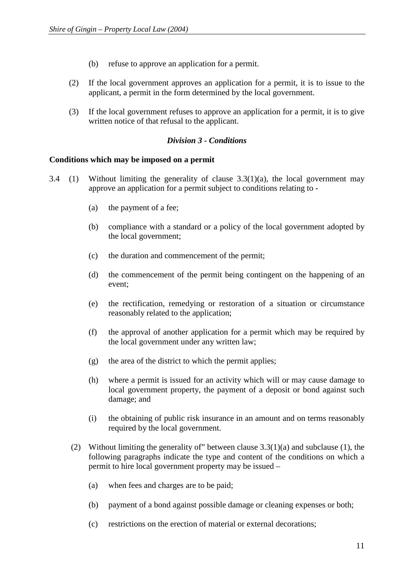- (b) refuse to approve an application for a permit.
- (2) If the local government approves an application for a permit, it is to issue to the applicant, a permit in the form determined by the local government.
- (3) If the local government refuses to approve an application for a permit, it is to give written notice of that refusal to the applicant.

## *Division 3 - Conditions*

## **Conditions which may be imposed on a permit**

- 3.4 (1) Without limiting the generality of clause  $3.3(1)(a)$ , the local government may approve an application for a permit subject to conditions relating to -
	- (a) the payment of a fee;
	- (b) compliance with a standard or a policy of the local government adopted by the local government;
	- (c) the duration and commencement of the permit;
	- (d) the commencement of the permit being contingent on the happening of an event;
	- (e) the rectification, remedying or restoration of a situation or circumstance reasonably related to the application;
	- (f) the approval of another application for a permit which may be required by the local government under any written law;
	- (g) the area of the district to which the permit applies;
	- (h) where a permit is issued for an activity which will or may cause damage to local government property, the payment of a deposit or bond against such damage; and
	- (i) the obtaining of public risk insurance in an amount and on terms reasonably required by the local government.
	- (2) Without limiting the generality of" between clause 3.3(1)(a) and subclause (1), the following paragraphs indicate the type and content of the conditions on which a permit to hire local government property may be issued –
		- (a) when fees and charges are to be paid;
		- (b) payment of a bond against possible damage or cleaning expenses or both;
		- (c) restrictions on the erection of material or external decorations;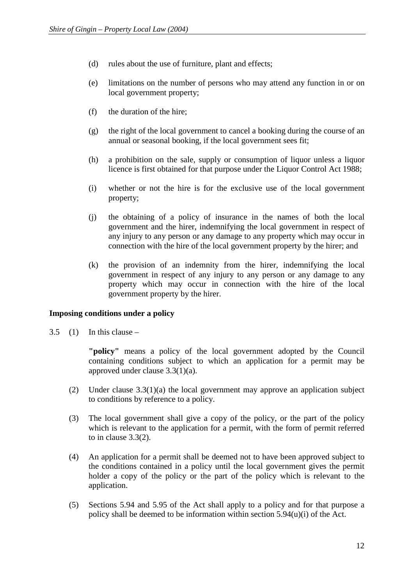- (d) rules about the use of furniture, plant and effects;
- (e) limitations on the number of persons who may attend any function in or on local government property;
- (f) the duration of the hire;
- (g) the right of the local government to cancel a booking during the course of an annual or seasonal booking, if the local government sees fit;
- (h) a prohibition on the sale, supply or consumption of liquor unless a liquor licence is first obtained for that purpose under the Liquor Control Act 1988;
- (i) whether or not the hire is for the exclusive use of the local government property;
- (j) the obtaining of a policy of insurance in the names of both the local government and the hirer, indemnifying the local government in respect of any injury to any person or any damage to any property which may occur in connection with the hire of the local government property by the hirer; and
- (k) the provision of an indemnity from the hirer, indemnifying the local government in respect of any injury to any person or any damage to any property which may occur in connection with the hire of the local government property by the hirer.

## **Imposing conditions under a policy**

 $3.5$  (1) In this clause –

**"policy"** means a policy of the local government adopted by the Council containing conditions subject to which an application for a permit may be approved under clause 3.3(1)(a).

- (2) Under clause 3.3(1)(a) the local government may approve an application subject to conditions by reference to a policy.
- (3) The local government shall give a copy of the policy, or the part of the policy which is relevant to the application for a permit, with the form of permit referred to in clause 3.3(2).
- (4) An application for a permit shall be deemed not to have been approved subject to the conditions contained in a policy until the local government gives the permit holder a copy of the policy or the part of the policy which is relevant to the application.
- (5) Sections 5.94 and 5.95 of the Act shall apply to a policy and for that purpose a policy shall be deemed to be information within section  $5.94(u)(i)$  of the Act.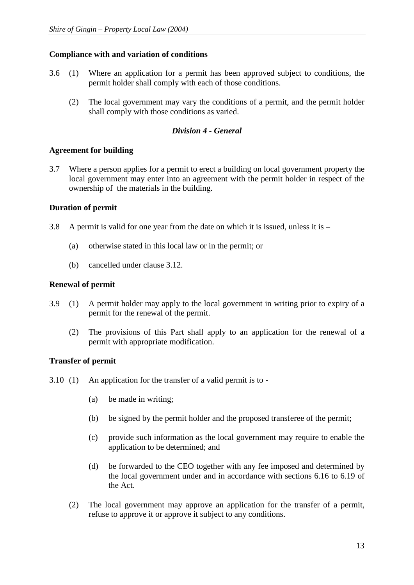## **Compliance with and variation of conditions**

- 3.6 (1) Where an application for a permit has been approved subject to conditions, the permit holder shall comply with each of those conditions.
	- (2) The local government may vary the conditions of a permit, and the permit holder shall comply with those conditions as varied.

## *Division 4 - General*

## **Agreement for building**

3.7 Where a person applies for a permit to erect a building on local government property the local government may enter into an agreement with the permit holder in respect of the ownership of the materials in the building.

## **Duration of permit**

- 3.8 A permit is valid for one year from the date on which it is issued, unless it is
	- (a) otherwise stated in this local law or in the permit; or
	- (b) cancelled under clause 3.12.

## **Renewal of permit**

- 3.9 (1) A permit holder may apply to the local government in writing prior to expiry of a permit for the renewal of the permit.
	- (2) The provisions of this Part shall apply to an application for the renewal of a permit with appropriate modification.

## **Transfer of permit**

- 3.10 (1) An application for the transfer of a valid permit is to
	- (a) be made in writing;
	- (b) be signed by the permit holder and the proposed transferee of the permit;
	- (c) provide such information as the local government may require to enable the application to be determined; and
	- (d) be forwarded to the CEO together with any fee imposed and determined by the local government under and in accordance with sections 6.16 to 6.19 of the Act.
	- (2) The local government may approve an application for the transfer of a permit, refuse to approve it or approve it subject to any conditions.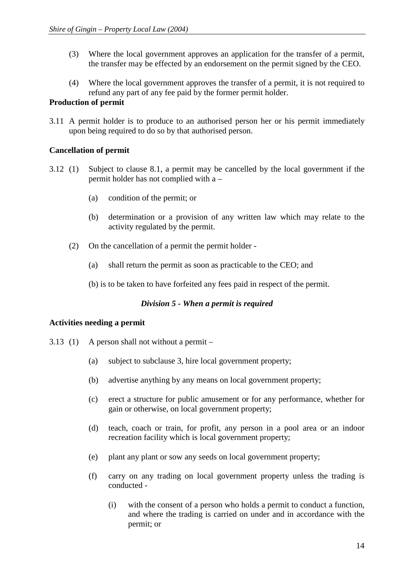- (3) Where the local government approves an application for the transfer of a permit, the transfer may be effected by an endorsement on the permit signed by the CEO.
- (4) Where the local government approves the transfer of a permit, it is not required to refund any part of any fee paid by the former permit holder.

## **Production of permit**

3.11 A permit holder is to produce to an authorised person her or his permit immediately upon being required to do so by that authorised person.

## **Cancellation of permit**

- 3.12 (1) Subject to clause 8.1, a permit may be cancelled by the local government if the permit holder has not complied with a –
	- (a) condition of the permit; or
	- (b) determination or a provision of any written law which may relate to the activity regulated by the permit.
	- (2) On the cancellation of a permit the permit holder
		- (a) shall return the permit as soon as practicable to the CEO; and
		- (b) is to be taken to have forfeited any fees paid in respect of the permit.

## *Division 5 - When a permit is required*

## **Activities needing a permit**

- 3.13 (1) A person shall not without a permit
	- (a) subject to subclause 3, hire local government property;
	- (b) advertise anything by any means on local government property;
	- (c) erect a structure for public amusement or for any performance, whether for gain or otherwise, on local government property;
	- (d) teach, coach or train, for profit, any person in a pool area or an indoor recreation facility which is local government property;
	- (e) plant any plant or sow any seeds on local government property;
	- (f) carry on any trading on local government property unless the trading is conducted -
		- (i) with the consent of a person who holds a permit to conduct a function, and where the trading is carried on under and in accordance with the permit; or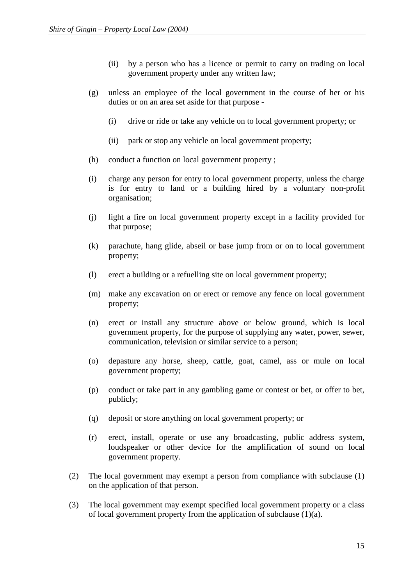- (ii) by a person who has a licence or permit to carry on trading on local government property under any written law;
- (g) unless an employee of the local government in the course of her or his duties or on an area set aside for that purpose -
	- (i) drive or ride or take any vehicle on to local government property; or
	- (ii) park or stop any vehicle on local government property;
- (h) conduct a function on local government property ;
- (i) charge any person for entry to local government property, unless the charge is for entry to land or a building hired by a voluntary non-profit organisation;
- (j) light a fire on local government property except in a facility provided for that purpose;
- (k) parachute, hang glide, abseil or base jump from or on to local government property;
- (l) erect a building or a refuelling site on local government property;
- (m) make any excavation on or erect or remove any fence on local government property;
- (n) erect or install any structure above or below ground, which is local government property, for the purpose of supplying any water, power, sewer, communication, television or similar service to a person;
- (o) depasture any horse, sheep, cattle, goat, camel, ass or mule on local government property;
- (p) conduct or take part in any gambling game or contest or bet, or offer to bet, publicly;
- (q) deposit or store anything on local government property; or
- (r) erect, install, operate or use any broadcasting, public address system, loudspeaker or other device for the amplification of sound on local government property.
- (2) The local government may exempt a person from compliance with subclause (1) on the application of that person.
- (3) The local government may exempt specified local government property or a class of local government property from the application of subclause  $(1)(a)$ .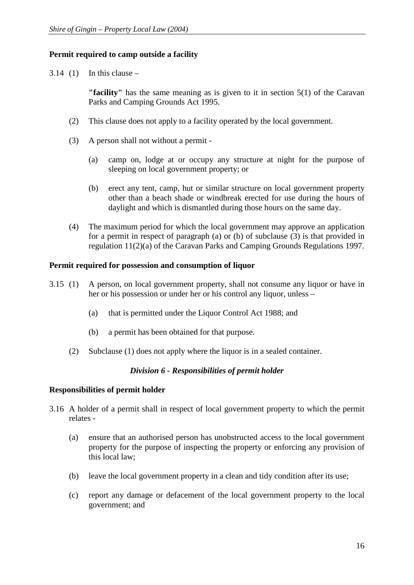## **Permit required to camp outside a facility**

 $3.14$  (1) In this clause –

**"facility"** has the same meaning as is given to it in section 5(1) of the Caravan Parks and Camping Grounds Act 1995.

- (2) This clause does not apply to a facility operated by the local government.
- (3) A person shall not without a permit
	- (a) camp on, lodge at or occupy any structure at night for the purpose of sleeping on local government property; or
	- (b) erect any tent, camp, hut or similar structure on local government property other than a beach shade or windbreak erected for use during the hours of daylight and which is dismantled during those hours on the same day.
- (4) The maximum period for which the local government may approve an application for a permit in respect of paragraph (a) or (b) of subclause (3) is that provided in regulation 11(2)(a) of the Caravan Parks and Camping Grounds Regulations 1997.

## **Permit required for possession and consumption of liquor**

- 3.15 (1) A person, on local government property, shall not consume any liquor or have in her or his possession or under her or his control any liquor, unless –
	- (a) that is permitted under the Liquor Control Act 1988; and
	- (b) a permit has been obtained for that purpose.
	- (2) Subclause (1) does not apply where the liquor is in a sealed container.

## *Division 6 - Responsibilities of permit holder*

## **Responsibilities of permit holder**

- 3.16 A holder of a permit shall in respect of local government property to which the permit relates -
	- (a) ensure that an authorised person has unobstructed access to the local government property for the purpose of inspecting the property or enforcing any provision of this local law;
	- (b) leave the local government property in a clean and tidy condition after its use;
	- (c) report any damage or defacement of the local government property to the local government; and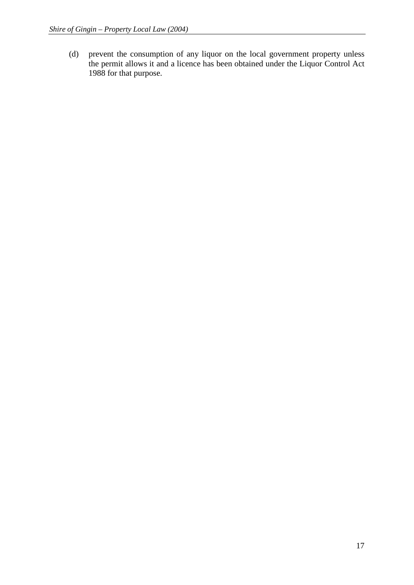(d) prevent the consumption of any liquor on the local government property unless the permit allows it and a licence has been obtained under the Liquor Control Act 1988 for that purpose.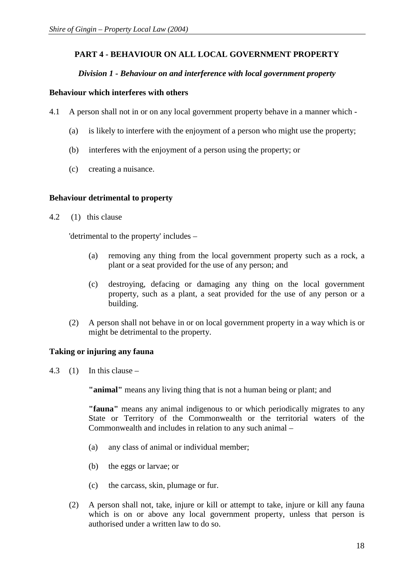## **PART 4 - BEHAVIOUR ON ALL LOCAL GOVERNMENT PROPERTY**

## *Division 1 - Behaviour on and interference with local government property*

## **Behaviour which interferes with others**

- 4.1 A person shall not in or on any local government property behave in a manner which
	- (a) is likely to interfere with the enjoyment of a person who might use the property;
	- (b) interferes with the enjoyment of a person using the property; or
	- (c) creating a nuisance.

## **Behaviour detrimental to property**

4.2 (1) this clause

'detrimental to the property' includes –

- (a) removing any thing from the local government property such as a rock, a plant or a seat provided for the use of any person; and
- (c) destroying, defacing or damaging any thing on the local government property, such as a plant, a seat provided for the use of any person or a building.
- (2) A person shall not behave in or on local government property in a way which is or might be detrimental to the property.

## **Taking or injuring any fauna**

4.3  $(1)$  In this clause –

**"animal"** means any living thing that is not a human being or plant; and

**"fauna"** means any animal indigenous to or which periodically migrates to any State or Territory of the Commonwealth or the territorial waters of the Commonwealth and includes in relation to any such animal –

- (a) any class of animal or individual member;
- (b) the eggs or larvae; or
- (c) the carcass, skin, plumage or fur.
- (2) A person shall not, take, injure or kill or attempt to take, injure or kill any fauna which is on or above any local government property, unless that person is authorised under a written law to do so.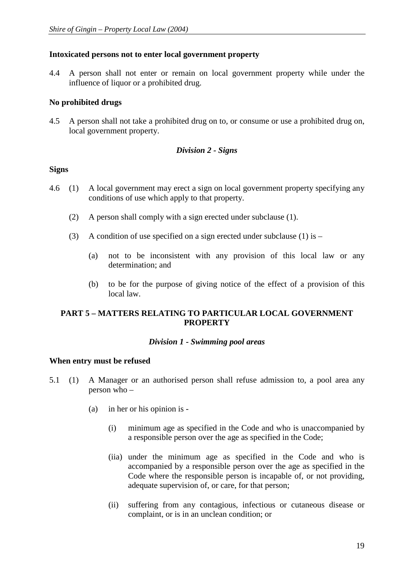## **Intoxicated persons not to enter local government property**

4.4 A person shall not enter or remain on local government property while under the influence of liquor or a prohibited drug.

## **No prohibited drugs**

4.5 A person shall not take a prohibited drug on to, or consume or use a prohibited drug on, local government property.

## *Division 2 - Signs*

## **Signs**

- 4.6 (1) A local government may erect a sign on local government property specifying any conditions of use which apply to that property.
	- (2) A person shall comply with a sign erected under subclause (1).
	- (3) A condition of use specified on a sign erected under subclause (1) is  $-$ 
		- (a) not to be inconsistent with any provision of this local law or any determination; and
		- (b) to be for the purpose of giving notice of the effect of a provision of this local law.

## **PART 5 – MATTERS RELATING TO PARTICULAR LOCAL GOVERNMENT PROPERTY**

## *Division 1 - Swimming pool areas*

## **When entry must be refused**

- 5.1 (1) A Manager or an authorised person shall refuse admission to, a pool area any person who –
	- (a) in her or his opinion is
		- (i) minimum age as specified in the Code and who is unaccompanied by a responsible person over the age as specified in the Code;
		- (iia) under the minimum age as specified in the Code and who is accompanied by a responsible person over the age as specified in the Code where the responsible person is incapable of, or not providing, adequate supervision of, or care, for that person;
		- (ii) suffering from any contagious, infectious or cutaneous disease or complaint, or is in an unclean condition; or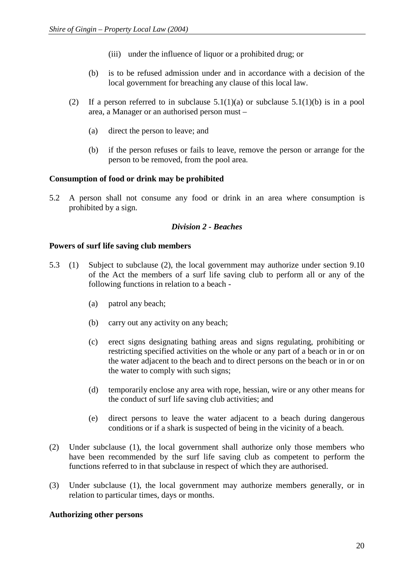- (iii) under the influence of liquor or a prohibited drug; or
- (b) is to be refused admission under and in accordance with a decision of the local government for breaching any clause of this local law.
- (2) If a person referred to in subclause  $5.1(1)(a)$  or subclause  $5.1(1)(b)$  is in a pool area, a Manager or an authorised person must –
	- (a) direct the person to leave; and
	- (b) if the person refuses or fails to leave, remove the person or arrange for the person to be removed, from the pool area.

## **Consumption of food or drink may be prohibited**

5.2 A person shall not consume any food or drink in an area where consumption is prohibited by a sign.

## *Division 2 - Beaches*

## **Powers of surf life saving club members**

- 5.3 (1) Subject to subclause (2), the local government may authorize under section 9.10 of the Act the members of a surf life saving club to perform all or any of the following functions in relation to a beach -
	- (a) patrol any beach;
	- (b) carry out any activity on any beach;
	- (c) erect signs designating bathing areas and signs regulating, prohibiting or restricting specified activities on the whole or any part of a beach or in or on the water adjacent to the beach and to direct persons on the beach or in or on the water to comply with such signs;
	- (d) temporarily enclose any area with rope, hessian, wire or any other means for the conduct of surf life saving club activities; and
	- (e) direct persons to leave the water adjacent to a beach during dangerous conditions or if a shark is suspected of being in the vicinity of a beach.
- (2) Under subclause (1), the local government shall authorize only those members who have been recommended by the surf life saving club as competent to perform the functions referred to in that subclause in respect of which they are authorised.
- (3) Under subclause (1), the local government may authorize members generally, or in relation to particular times, days or months.

## **Authorizing other persons**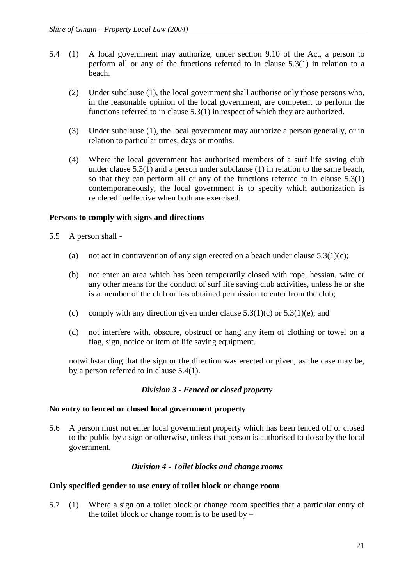- 5.4 (1) A local government may authorize, under section 9.10 of the Act, a person to perform all or any of the functions referred to in clause 5.3(1) in relation to a beach.
	- (2) Under subclause (1), the local government shall authorise only those persons who, in the reasonable opinion of the local government, are competent to perform the functions referred to in clause 5.3(1) in respect of which they are authorized.
	- (3) Under subclause (1), the local government may authorize a person generally, or in relation to particular times, days or months.
	- (4) Where the local government has authorised members of a surf life saving club under clause 5.3(1) and a person under subclause (1) in relation to the same beach, so that they can perform all or any of the functions referred to in clause 5.3(1) contemporaneously, the local government is to specify which authorization is rendered ineffective when both are exercised.

## **Persons to comply with signs and directions**

- 5.5 A person shall
	- (a) not act in contravention of any sign erected on a beach under clause  $5.3(1)(c)$ ;
	- (b) not enter an area which has been temporarily closed with rope, hessian, wire or any other means for the conduct of surf life saving club activities, unless he or she is a member of the club or has obtained permission to enter from the club;
	- (c) comply with any direction given under clause  $5.3(1)(c)$  or  $5.3(1)(e)$ ; and
	- (d) not interfere with, obscure, obstruct or hang any item of clothing or towel on a flag, sign, notice or item of life saving equipment.

notwithstanding that the sign or the direction was erected or given, as the case may be, by a person referred to in clause 5.4(1).

## *Division 3 - Fenced or closed property*

## **No entry to fenced or closed local government property**

5.6 A person must not enter local government property which has been fenced off or closed to the public by a sign or otherwise, unless that person is authorised to do so by the local government.

## *Division 4 - Toilet blocks and change rooms*

## **Only specified gender to use entry of toilet block or change room**

5.7 (1) Where a sign on a toilet block or change room specifies that a particular entry of the toilet block or change room is to be used by  $-$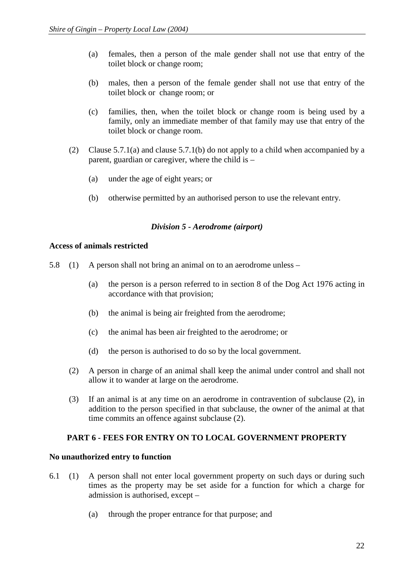- (a) females, then a person of the male gender shall not use that entry of the toilet block or change room;
- (b) males, then a person of the female gender shall not use that entry of the toilet block or change room; or
- (c) families, then, when the toilet block or change room is being used by a family, only an immediate member of that family may use that entry of the toilet block or change room.
- (2) Clause 5.7.1(a) and clause 5.7.1(b) do not apply to a child when accompanied by a parent, guardian or caregiver, where the child is –
	- (a) under the age of eight years; or
	- (b) otherwise permitted by an authorised person to use the relevant entry.

## *Division 5 - Aerodrome (airport)*

## **Access of animals restricted**

- 5.8 (1) A person shall not bring an animal on to an aerodrome unless
	- (a) the person is a person referred to in section 8 of the Dog Act 1976 acting in accordance with that provision;
	- (b) the animal is being air freighted from the aerodrome;
	- (c) the animal has been air freighted to the aerodrome; or
	- (d) the person is authorised to do so by the local government.
	- (2) A person in charge of an animal shall keep the animal under control and shall not allow it to wander at large on the aerodrome.
	- (3) If an animal is at any time on an aerodrome in contravention of subclause (2), in addition to the person specified in that subclause, the owner of the animal at that time commits an offence against subclause (2).

## **PART 6 - FEES FOR ENTRY ON TO LOCAL GOVERNMENT PROPERTY**

## **No unauthorized entry to function**

- 6.1 (1) A person shall not enter local government property on such days or during such times as the property may be set aside for a function for which a charge for admission is authorised, except –
	- (a) through the proper entrance for that purpose; and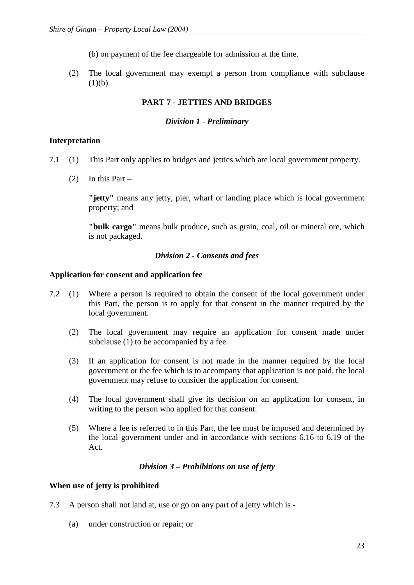(b) on payment of the fee chargeable for admission at the time.

(2) The local government may exempt a person from compliance with subclause  $(1)(b)$ .

## **PART 7 - JETTIES AND BRIDGES**

## *Division 1 - Preliminary*

## **Interpretation**

- 7.1 (1) This Part only applies to bridges and jetties which are local government property.
	- (2) In this Part –

**"jetty"** means any jetty, pier, wharf or landing place which is local government property; and

**"bulk cargo"** means bulk produce, such as grain, coal, oil or mineral ore, which is not packaged.

## *Division 2 - Consents and fees*

## **Application for consent and application fee**

- 7.2 (1) Where a person is required to obtain the consent of the local government under this Part, the person is to apply for that consent in the manner required by the local government.
	- (2) The local government may require an application for consent made under subclause (1) to be accompanied by a fee.
	- (3) If an application for consent is not made in the manner required by the local government or the fee which is to accompany that application is not paid, the local government may refuse to consider the application for consent.
	- (4) The local government shall give its decision on an application for consent, in writing to the person who applied for that consent.
	- (5) Where a fee is referred to in this Part, the fee must be imposed and determined by the local government under and in accordance with sections 6.16 to 6.19 of the Act.

## *Division 3 – Prohibitions on use of jetty*

## **When use of jetty is prohibited**

- 7.3 A person shall not land at, use or go on any part of a jetty which is
	- (a) under construction or repair; or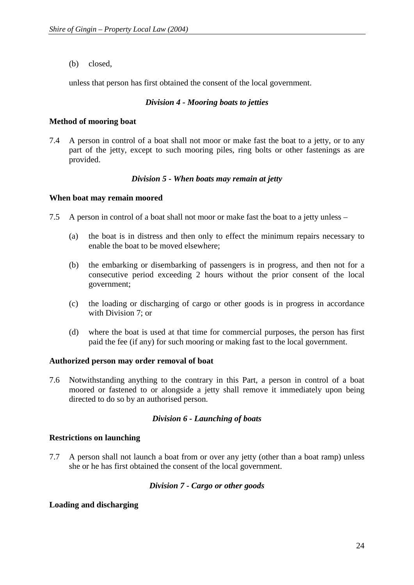(b) closed,

unless that person has first obtained the consent of the local government.

## *Division 4 - Mooring boats to jetties*

## **Method of mooring boat**

7.4 A person in control of a boat shall not moor or make fast the boat to a jetty, or to any part of the jetty, except to such mooring piles, ring bolts or other fastenings as are provided.

## *Division 5 - When boats may remain at jetty*

## **When boat may remain moored**

- 7.5 A person in control of a boat shall not moor or make fast the boat to a jetty unless
	- (a) the boat is in distress and then only to effect the minimum repairs necessary to enable the boat to be moved elsewhere;
	- (b) the embarking or disembarking of passengers is in progress, and then not for a consecutive period exceeding 2 hours without the prior consent of the local government;
	- (c) the loading or discharging of cargo or other goods is in progress in accordance with Division 7; or
	- (d) where the boat is used at that time for commercial purposes, the person has first paid the fee (if any) for such mooring or making fast to the local government.

## **Authorized person may order removal of boat**

7.6 Notwithstanding anything to the contrary in this Part, a person in control of a boat moored or fastened to or alongside a jetty shall remove it immediately upon being directed to do so by an authorised person.

## *Division 6 - Launching of boats*

## **Restrictions on launching**

7.7 A person shall not launch a boat from or over any jetty (other than a boat ramp) unless she or he has first obtained the consent of the local government.

## *Division 7 - Cargo or other goods*

## **Loading and discharging**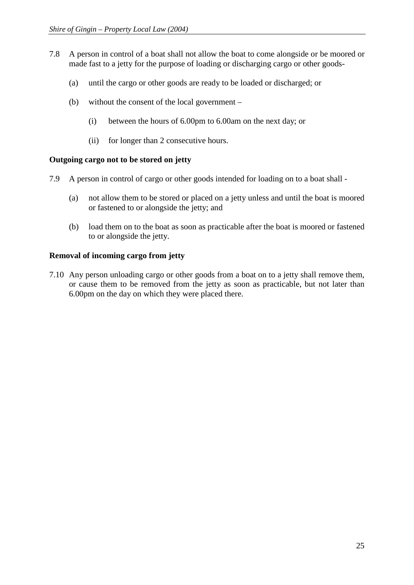- 7.8 A person in control of a boat shall not allow the boat to come alongside or be moored or made fast to a jetty for the purpose of loading or discharging cargo or other goods-
	- (a) until the cargo or other goods are ready to be loaded or discharged; or
	- (b) without the consent of the local government
		- (i) between the hours of 6.00pm to 6.00am on the next day; or
		- (ii) for longer than 2 consecutive hours.

## **Outgoing cargo not to be stored on jetty**

- 7.9 A person in control of cargo or other goods intended for loading on to a boat shall
	- (a) not allow them to be stored or placed on a jetty unless and until the boat is moored or fastened to or alongside the jetty; and
	- (b) load them on to the boat as soon as practicable after the boat is moored or fastened to or alongside the jetty.

## **Removal of incoming cargo from jetty**

7.10 Any person unloading cargo or other goods from a boat on to a jetty shall remove them, or cause them to be removed from the jetty as soon as practicable, but not later than 6.00pm on the day on which they were placed there.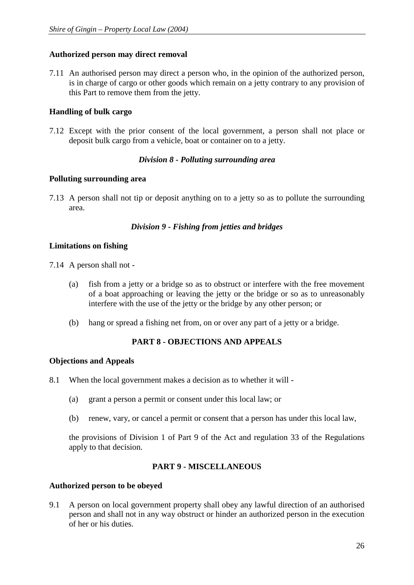## **Authorized person may direct removal**

7.11 An authorised person may direct a person who, in the opinion of the authorized person, is in charge of cargo or other goods which remain on a jetty contrary to any provision of this Part to remove them from the jetty.

## **Handling of bulk cargo**

7.12 Except with the prior consent of the local government, a person shall not place or deposit bulk cargo from a vehicle, boat or container on to a jetty.

## *Division 8 - Polluting surrounding area*

## **Polluting surrounding area**

7.13 A person shall not tip or deposit anything on to a jetty so as to pollute the surrounding area.

## *Division 9 - Fishing from jetties and bridges*

## **Limitations on fishing**

- 7.14 A person shall not
	- (a) fish from a jetty or a bridge so as to obstruct or interfere with the free movement of a boat approaching or leaving the jetty or the bridge or so as to unreasonably interfere with the use of the jetty or the bridge by any other person; or
	- (b) hang or spread a fishing net from, on or over any part of a jetty or a bridge.

## **PART 8 - OBJECTIONS AND APPEALS**

## **Objections and Appeals**

- 8.1 When the local government makes a decision as to whether it will
	- (a) grant a person a permit or consent under this local law; or
	- (b) renew, vary, or cancel a permit or consent that a person has under this local law,

the provisions of Division 1 of Part 9 of the Act and regulation 33 of the Regulations apply to that decision.

## **PART 9 - MISCELLANEOUS**

## **Authorized person to be obeyed**

9.1 A person on local government property shall obey any lawful direction of an authorised person and shall not in any way obstruct or hinder an authorized person in the execution of her or his duties.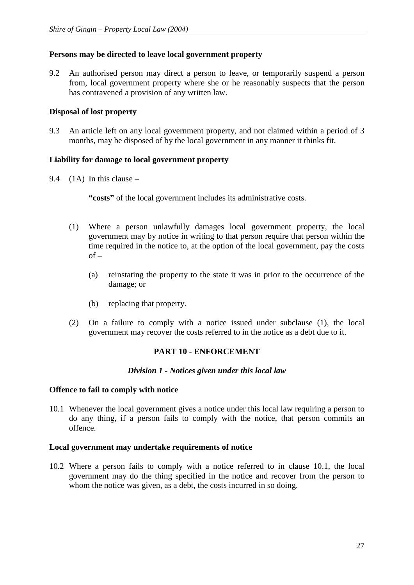## **Persons may be directed to leave local government property**

9.2 An authorised person may direct a person to leave, or temporarily suspend a person from, local government property where she or he reasonably suspects that the person has contravened a provision of any written law.

## **Disposal of lost property**

9.3 An article left on any local government property, and not claimed within a period of 3 months, may be disposed of by the local government in any manner it thinks fit.

## **Liability for damage to local government property**

9.4 (1A) In this clause –

"costs" of the local government includes its administrative costs.

- (1) Where a person unlawfully damages local government property, the local government may by notice in writing to that person require that person within the time required in the notice to, at the option of the local government, pay the costs  $of -$ 
	- (a) reinstating the property to the state it was in prior to the occurrence of the damage; or
	- (b) replacing that property.
- (2) On a failure to comply with a notice issued under subclause (1), the local government may recover the costs referred to in the notice as a debt due to it.

## **PART 10 - ENFORCEMENT**

## *Division 1 - Notices given under this local law*

## **Offence to fail to comply with notice**

10.1 Whenever the local government gives a notice under this local law requiring a person to do any thing, if a person fails to comply with the notice, that person commits an offence.

## **Local government may undertake requirements of notice**

10.2 Where a person fails to comply with a notice referred to in clause 10.1, the local government may do the thing specified in the notice and recover from the person to whom the notice was given, as a debt, the costs incurred in so doing.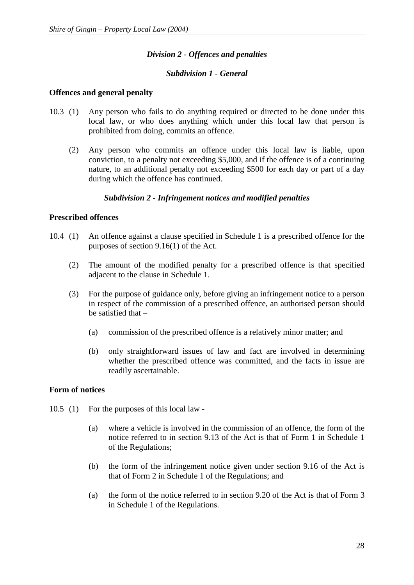## *Division 2 - Offences and penalties*

## *Subdivision 1 - General*

#### **Offences and general penalty**

- 10.3 (1) Any person who fails to do anything required or directed to be done under this local law, or who does anything which under this local law that person is prohibited from doing, commits an offence.
	- (2) Any person who commits an offence under this local law is liable, upon conviction, to a penalty not exceeding \$5,000, and if the offence is of a continuing nature, to an additional penalty not exceeding \$500 for each day or part of a day during which the offence has continued.

#### *Subdivision 2 - Infringement notices and modified penalties*

## **Prescribed offences**

- 10.4 (1) An offence against a clause specified in Schedule 1 is a prescribed offence for the purposes of section 9.16(1) of the Act.
	- (2) The amount of the modified penalty for a prescribed offence is that specified adjacent to the clause in Schedule 1.
	- (3) For the purpose of guidance only, before giving an infringement notice to a person in respect of the commission of a prescribed offence, an authorised person should be satisfied that –
		- (a) commission of the prescribed offence is a relatively minor matter; and
		- (b) only straightforward issues of law and fact are involved in determining whether the prescribed offence was committed, and the facts in issue are readily ascertainable.

## **Form of notices**

- 10.5 (1) For the purposes of this local law
	- (a) where a vehicle is involved in the commission of an offence, the form of the notice referred to in section 9.13 of the Act is that of Form 1 in Schedule 1 of the Regulations;
	- (b) the form of the infringement notice given under section 9.16 of the Act is that of Form 2 in Schedule 1 of the Regulations; and
	- (a) the form of the notice referred to in section 9.20 of the Act is that of Form 3 in Schedule 1 of the Regulations.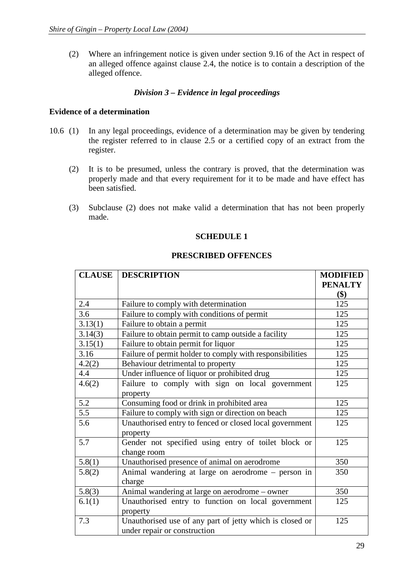(2) Where an infringement notice is given under section 9.16 of the Act in respect of an alleged offence against clause 2.4, the notice is to contain a description of the alleged offence.

## *Division 3 – Evidence in legal proceedings*

## **Evidence of a determination**

- 10.6 (1) In any legal proceedings, evidence of a determination may be given by tendering the register referred to in clause 2.5 or a certified copy of an extract from the register.
	- (2) It is to be presumed, unless the contrary is proved, that the determination was properly made and that every requirement for it to be made and have effect has been satisfied.
	- (3) Subclause (2) does not make valid a determination that has not been properly made.

## **SCHEDULE 1**

#### **PRESCRIBED OFFENCES**

| <b>CLAUSE</b> | <b>DESCRIPTION</b>                                       | <b>MODIFIED</b> |
|---------------|----------------------------------------------------------|-----------------|
|               |                                                          | <b>PENALTY</b>  |
|               |                                                          | \$)             |
| 2.4           | Failure to comply with determination                     | 125             |
| 3.6           | Failure to comply with conditions of permit              | 125             |
| 3.13(1)       | Failure to obtain a permit                               | 125             |
| 3.14(3)       | Failure to obtain permit to camp outside a facility      | 125             |
| 3.15(1)       | Failure to obtain permit for liquor                      | 125             |
| 3.16          | Failure of permit holder to comply with responsibilities | 125             |
| 4.2(2)        | Behaviour detrimental to property                        | 125             |
| 4.4           | Under influence of liquor or prohibited drug             | 125             |
| 4.6(2)        | Failure to comply with sign on local government          | 125             |
|               | property                                                 |                 |
| 5.2           | Consuming food or drink in prohibited area               | 125             |
| 5.5           | Failure to comply with sign or direction on beach        | 125             |
| 5.6           | Unauthorised entry to fenced or closed local government  | 125             |
|               | property                                                 |                 |
| 5.7           | Gender not specified using entry of toilet block or      | 125             |
|               | change room                                              |                 |
| 5.8(1)        | Unauthorised presence of animal on aerodrome             | 350             |
| 5.8(2)        | Animal wandering at large on aerodrome – person in       | 350             |
|               | charge                                                   |                 |
| 5.8(3)        | Animal wandering at large on aerodrome - owner           | 350             |
| 6.1(1)        | Unauthorised entry to function on local government       | 125             |
|               | property                                                 |                 |
| 7.3           | Unauthorised use of any part of jetty which is closed or | 125             |
|               | under repair or construction                             |                 |